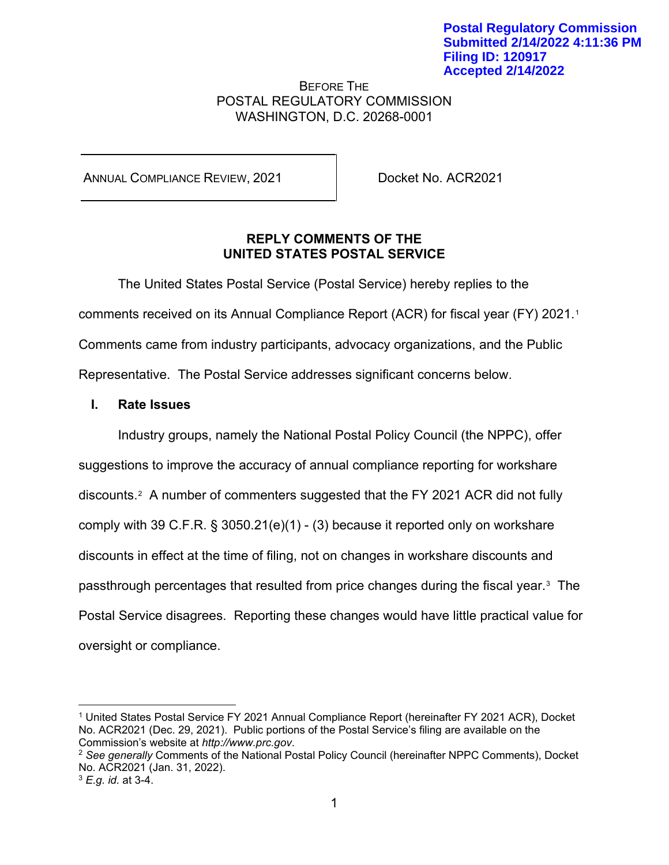## BEFORE THE POSTAL REGULATORY COMMISSION WASHINGTON, D.C. 20268-0001

ANNUAL COMPLIANCE REVIEW, 2021 Docket No. ACR2021

# **REPLY COMMENTS OF THE UNITED STATES POSTAL SERVICE**

The United States Postal Service (Postal Service) hereby replies to the comments received on its Annual Compliance Report (ACR) for fiscal year (FY) 2021.[1](#page-0-0) Comments came from industry participants, advocacy organizations, and the Public Representative. The Postal Service addresses significant concerns below.

# **I. Rate Issues**

Industry groups, namely the National Postal Policy Council (the NPPC), offer suggestions to improve the accuracy of annual compliance reporting for workshare discounts.[2](#page-0-1) A number of commenters suggested that the FY 2021 ACR did not fully comply with 39 C.F.R. § 3050.21(e)(1) - (3) because it reported only on workshare discounts in effect at the time of filing, not on changes in workshare discounts and passthrough percentages that resulted from price changes during the fiscal year.[3](#page-0-2) The Postal Service disagrees. Reporting these changes would have little practical value for oversight or compliance.

<span id="page-0-0"></span><sup>1</sup> United States Postal Service FY 2021 Annual Compliance Report (hereinafter FY 2021 ACR), Docket No. ACR2021 (Dec. 29, 2021). Public portions of the Postal Service's filing are available on the Commission's website at *http://www.prc.gov*.

<span id="page-0-1"></span><sup>2</sup> *See generally* Comments of the National Postal Policy Council (hereinafter NPPC Comments), Docket No. ACR2021 (Jan. 31, 2022).

<span id="page-0-2"></span><sup>3</sup> *E.g. id.* at 3-4.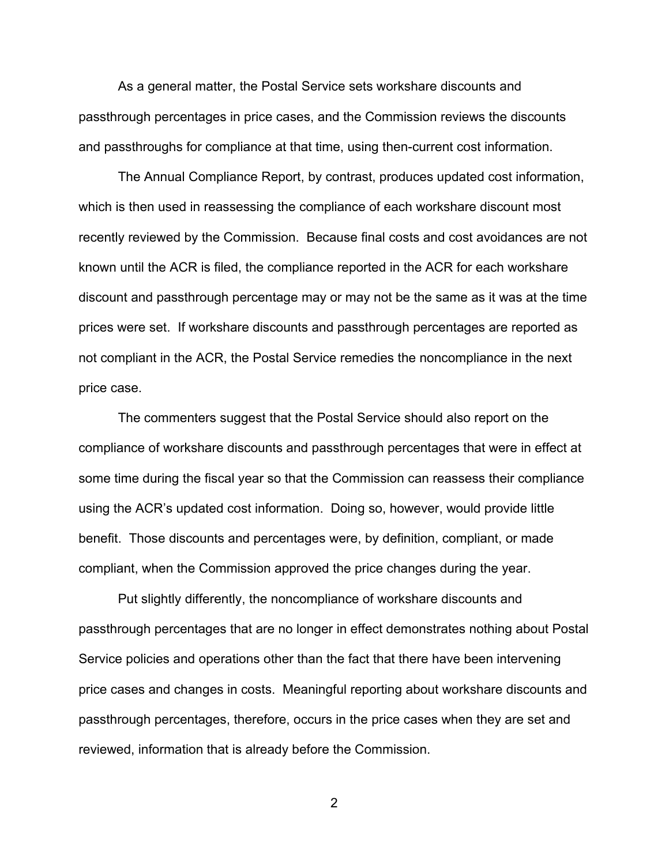As a general matter, the Postal Service sets workshare discounts and passthrough percentages in price cases, and the Commission reviews the discounts and passthroughs for compliance at that time, using then-current cost information.

The Annual Compliance Report, by contrast, produces updated cost information, which is then used in reassessing the compliance of each workshare discount most recently reviewed by the Commission. Because final costs and cost avoidances are not known until the ACR is filed, the compliance reported in the ACR for each workshare discount and passthrough percentage may or may not be the same as it was at the time prices were set. If workshare discounts and passthrough percentages are reported as not compliant in the ACR, the Postal Service remedies the noncompliance in the next price case.

The commenters suggest that the Postal Service should also report on the compliance of workshare discounts and passthrough percentages that were in effect at some time during the fiscal year so that the Commission can reassess their compliance using the ACR's updated cost information. Doing so, however, would provide little benefit. Those discounts and percentages were, by definition, compliant, or made compliant, when the Commission approved the price changes during the year.

Put slightly differently, the noncompliance of workshare discounts and passthrough percentages that are no longer in effect demonstrates nothing about Postal Service policies and operations other than the fact that there have been intervening price cases and changes in costs. Meaningful reporting about workshare discounts and passthrough percentages, therefore, occurs in the price cases when they are set and reviewed, information that is already before the Commission.

2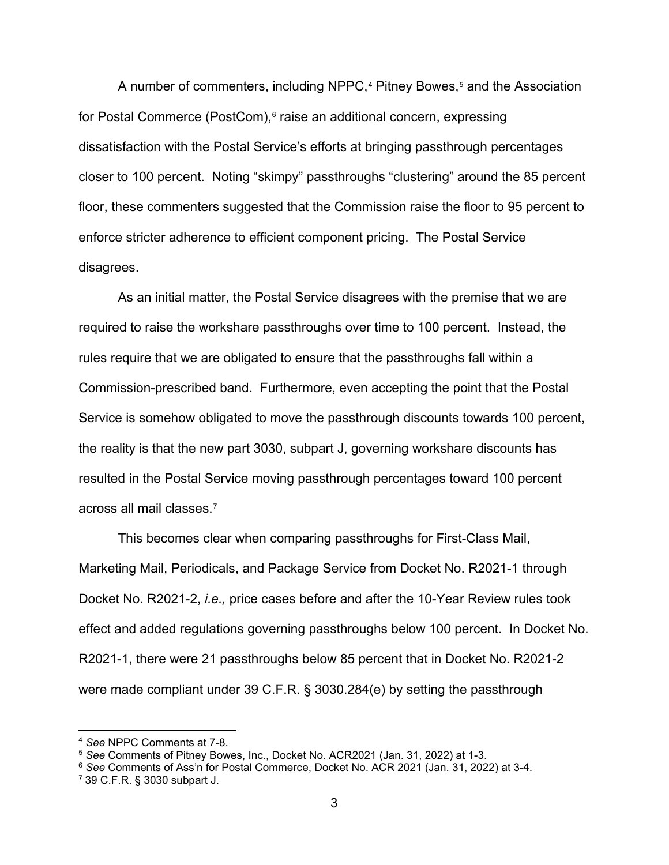A number of commenters, including NPPC,<sup>[4](#page-2-0)</sup> Pitney Bowes,<sup>[5](#page-2-1)</sup> and the Association for Postal Commerce (PostCom),<sup>[6](#page-2-2)</sup> raise an additional concern, expressing dissatisfaction with the Postal Service's efforts at bringing passthrough percentages closer to 100 percent. Noting "skimpy" passthroughs "clustering" around the 85 percent floor, these commenters suggested that the Commission raise the floor to 95 percent to enforce stricter adherence to efficient component pricing. The Postal Service disagrees.

As an initial matter, the Postal Service disagrees with the premise that we are required to raise the workshare passthroughs over time to 100 percent. Instead, the rules require that we are obligated to ensure that the passthroughs fall within a Commission-prescribed band. Furthermore, even accepting the point that the Postal Service is somehow obligated to move the passthrough discounts towards 100 percent, the reality is that the new part 3030, subpart J, governing workshare discounts has resulted in the Postal Service moving passthrough percentages toward 100 percent across all mail classes.[7](#page-2-3)

This becomes clear when comparing passthroughs for First-Class Mail, Marketing Mail, Periodicals, and Package Service from Docket No. R2021-1 through Docket No. R2021-2, *i.e.,* price cases before and after the 10-Year Review rules took effect and added regulations governing passthroughs below 100 percent. In Docket No. R2021-1, there were 21 passthroughs below 85 percent that in Docket No. R2021-2 were made compliant under 39 C.F.R. § 3030.284(e) by setting the passthrough

<span id="page-2-0"></span><sup>4</sup> *See* NPPC Comments at 7-8.

<span id="page-2-1"></span><sup>5</sup> *See* Comments of Pitney Bowes, Inc., Docket No. ACR2021 (Jan. 31, 2022) at 1-3.

<span id="page-2-2"></span><sup>6</sup> *See* Comments of Ass'n for Postal Commerce, Docket No. ACR 2021 (Jan. 31, 2022) at 3-4.

<span id="page-2-3"></span><sup>7</sup> 39 C.F.R. § 3030 subpart J.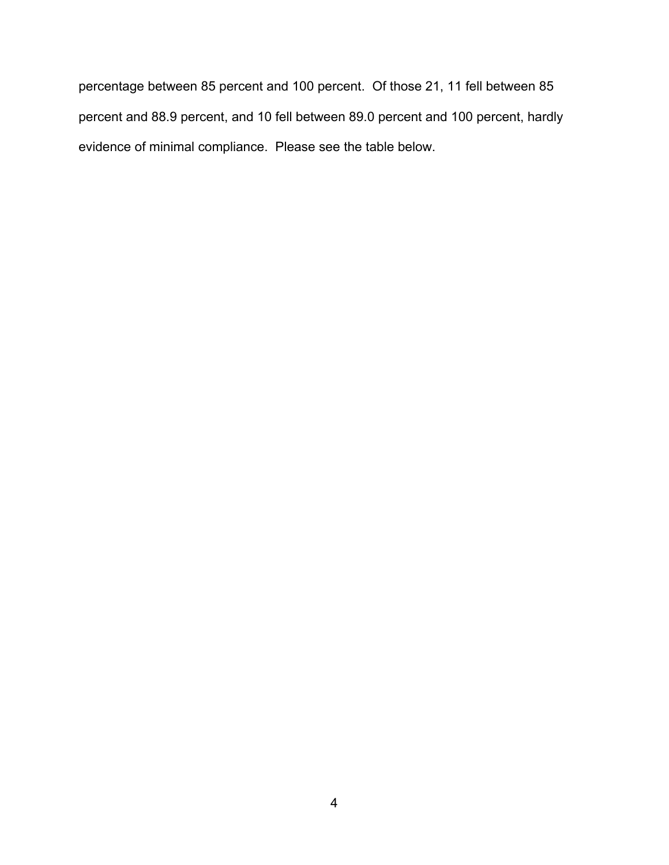percentage between 85 percent and 100 percent. Of those 21, 11 fell between 85 percent and 88.9 percent, and 10 fell between 89.0 percent and 100 percent, hardly evidence of minimal compliance. Please see the table below.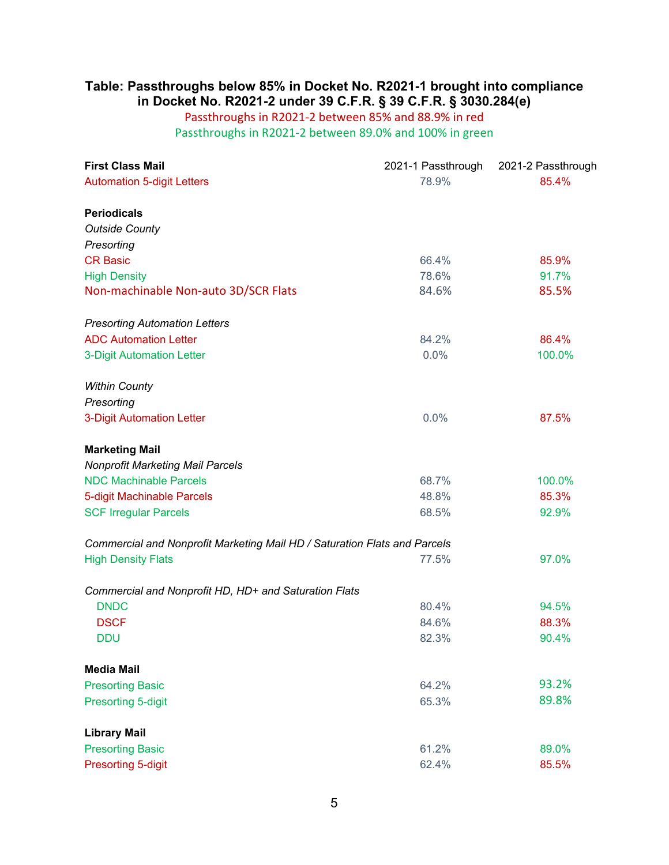# **Table: Passthroughs below 85% in Docket No. R2021-1 brought into compliance in Docket No. R2021-2 under 39 C.F.R. § 39 C.F.R. § 3030.284(e)**

# Passthroughs in R2021-2 between 85% and 88.9% in red

Passthroughs in R2021-2 between 89.0% and 100% in green

| <b>First Class Mail</b>                                                   | 2021-1 Passthrough | 2021-2 Passthrough |
|---------------------------------------------------------------------------|--------------------|--------------------|
| <b>Automation 5-digit Letters</b>                                         | 78.9%              | 85.4%              |
|                                                                           |                    |                    |
| <b>Periodicals</b><br><b>Outside County</b>                               |                    |                    |
| Presorting                                                                |                    |                    |
| <b>CR Basic</b>                                                           | 66.4%              | 85.9%              |
| <b>High Density</b>                                                       | 78.6%              | 91.7%              |
| Non-machinable Non-auto 3D/SCR Flats                                      | 84.6%              | 85.5%              |
| <b>Presorting Automation Letters</b>                                      |                    |                    |
| <b>ADC Automation Letter</b>                                              | 84.2%              | 86.4%              |
| <b>3-Digit Automation Letter</b>                                          | 0.0%               | 100.0%             |
| <b>Within County</b>                                                      |                    |                    |
| Presorting                                                                |                    |                    |
| <b>3-Digit Automation Letter</b>                                          | 0.0%               | 87.5%              |
| <b>Marketing Mail</b>                                                     |                    |                    |
| <b>Nonprofit Marketing Mail Parcels</b>                                   |                    |                    |
| <b>NDC Machinable Parcels</b>                                             | 68.7%              | 100.0%             |
| 5-digit Machinable Parcels                                                | 48.8%              | 85.3%              |
| <b>SCF Irregular Parcels</b>                                              | 68.5%              | 92.9%              |
| Commercial and Nonprofit Marketing Mail HD / Saturation Flats and Parcels |                    |                    |
| <b>High Density Flats</b>                                                 | 77.5%              | 97.0%              |
| Commercial and Nonprofit HD, HD+ and Saturation Flats                     |                    |                    |
| <b>DNDC</b>                                                               | 80.4%              | 94.5%              |
| <b>DSCF</b>                                                               | 84.6%              | 88.3%              |
| <b>DDU</b>                                                                | 82.3%              | 90.4%              |
| <b>Media Mail</b>                                                         |                    |                    |
| <b>Presorting Basic</b>                                                   | 64.2%              | 93.2%              |
| <b>Presorting 5-digit</b>                                                 | 65.3%              | 89.8%              |
| <b>Library Mail</b>                                                       |                    |                    |
| <b>Presorting Basic</b>                                                   | 61.2%              | 89.0%              |
| <b>Presorting 5-digit</b>                                                 | 62.4%              | 85.5%              |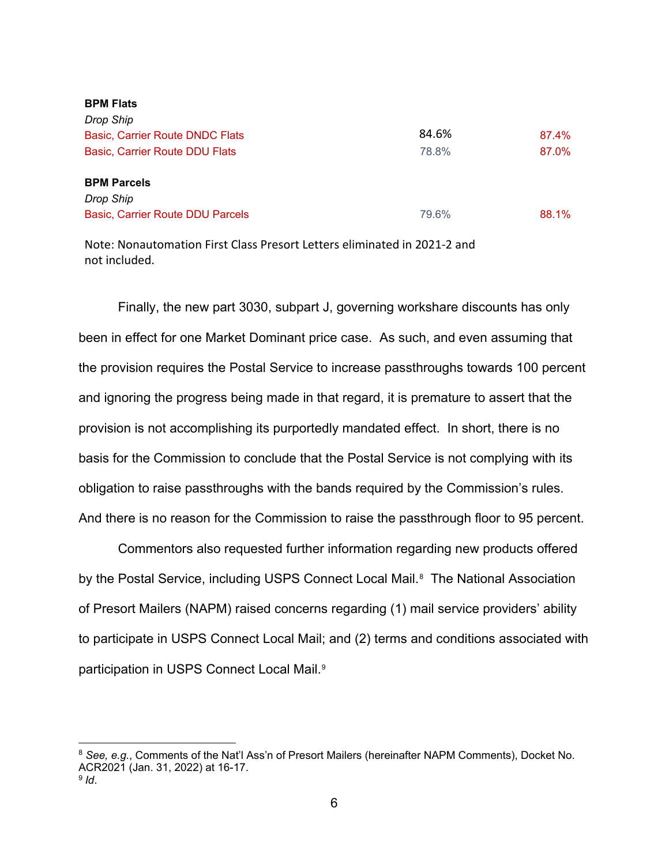| <b>BPM FRIS</b>                        |       |       |
|----------------------------------------|-------|-------|
| Drop Ship                              |       |       |
| <b>Basic, Carrier Route DNDC Flats</b> | 84.6% | 87.4% |
| Basic, Carrier Route DDU Flats         | 78.8% | 87.0% |
| <b>BPM Parcels</b>                     |       |       |
| Drop Ship                              |       |       |
| Basic, Carrier Route DDU Parcels       | 79.6% | 88.1% |
|                                        |       |       |

Note: Nonautomation First Class Presort Letters eliminated in 2021-2 and not included.

**BPM Flats**

Finally, the new part 3030, subpart J, governing workshare discounts has only been in effect for one Market Dominant price case. As such, and even assuming that the provision requires the Postal Service to increase passthroughs towards 100 percent and ignoring the progress being made in that regard, it is premature to assert that the provision is not accomplishing its purportedly mandated effect. In short, there is no basis for the Commission to conclude that the Postal Service is not complying with its obligation to raise passthroughs with the bands required by the Commission's rules. And there is no reason for the Commission to raise the passthrough floor to 95 percent.

Commentors also requested further information regarding new products offered by the Postal Service, including USPS Connect Local Mail.<sup>[8](#page-5-0)</sup> The National Association of Presort Mailers (NAPM) raised concerns regarding (1) mail service providers' ability to participate in USPS Connect Local Mail; and (2) terms and conditions associated with participation in USPS Connect Local Mail.[9](#page-5-1)

<span id="page-5-1"></span><span id="page-5-0"></span><sup>8</sup> *See, e.g.*, Comments of the Nat'l Ass'n of Presort Mailers (hereinafter NAPM Comments), Docket No. ACR2021 (Jan. 31, 2022) at 16-17. <sup>9</sup> *Id*.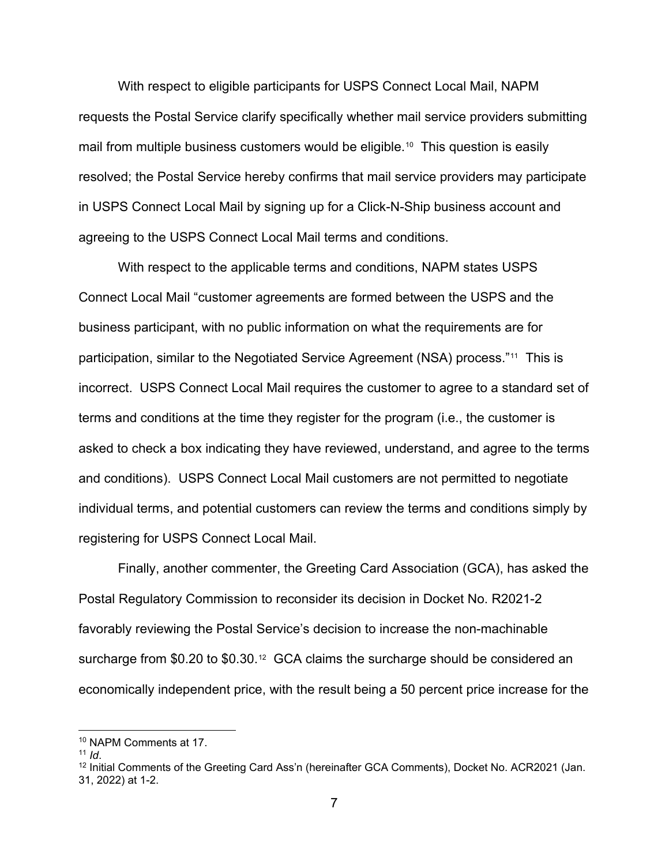With respect to eligible participants for USPS Connect Local Mail, NAPM requests the Postal Service clarify specifically whether mail service providers submitting mail from multiple business customers would be eligible.<sup>[10](#page-6-0)</sup> This question is easily resolved; the Postal Service hereby confirms that mail service providers may participate in USPS Connect Local Mail by signing up for a Click-N-Ship business account and agreeing to the USPS Connect Local Mail terms and conditions.

With respect to the applicable terms and conditions, NAPM states USPS Connect Local Mail "customer agreements are formed between the USPS and the business participant, with no public information on what the requirements are for participation, similar to the Negotiated Service Agreement (NSA) process."[11](#page-6-1) This is incorrect. USPS Connect Local Mail requires the customer to agree to a standard set of terms and conditions at the time they register for the program (i.e., the customer is asked to check a box indicating they have reviewed, understand, and agree to the terms and conditions). USPS Connect Local Mail customers are not permitted to negotiate individual terms, and potential customers can review the terms and conditions simply by registering for USPS Connect Local Mail.

Finally, another commenter, the Greeting Card Association (GCA), has asked the Postal Regulatory Commission to reconsider its decision in Docket No. R2021-2 favorably reviewing the Postal Service's decision to increase the non-machinable surcharge from \$0.20 to \$0.30.<sup>[12](#page-6-2)</sup> GCA claims the surcharge should be considered an economically independent price, with the result being a 50 percent price increase for the

<span id="page-6-0"></span><sup>&</sup>lt;sup>10</sup> NAPM Comments at 17.<br><sup>11</sup> Id.

<span id="page-6-1"></span>

<span id="page-6-2"></span><sup>&</sup>lt;sup>12</sup> Initial Comments of the Greeting Card Ass'n (hereinafter GCA Comments), Docket No. ACR2021 (Jan. 31, 2022) at 1-2.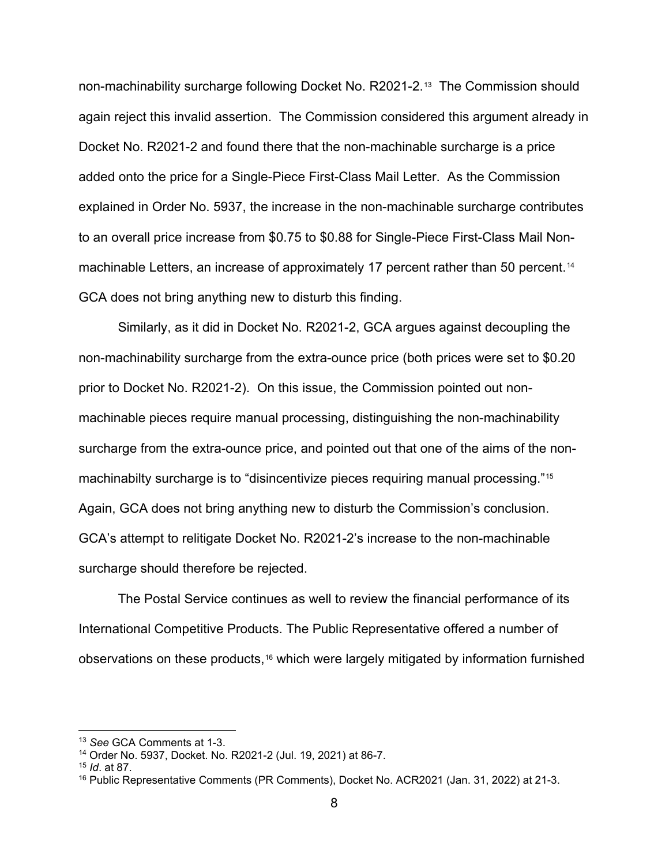non-machinability surcharge following Docket No. R2021-2.[13](#page-7-0) The Commission should again reject this invalid assertion. The Commission considered this argument already in Docket No. R2021-2 and found there that the non-machinable surcharge is a price added onto the price for a Single-Piece First-Class Mail Letter. As the Commission explained in Order No. 5937, the increase in the non-machinable surcharge contributes to an overall price increase from \$0.75 to \$0.88 for Single-Piece First-Class Mail Non-machinable Letters, an increase of approximately 17 percent rather than 50 percent.<sup>[14](#page-7-1)</sup> GCA does not bring anything new to disturb this finding.

Similarly, as it did in Docket No. R2021-2, GCA argues against decoupling the non-machinability surcharge from the extra-ounce price (both prices were set to \$0.20 prior to Docket No. R2021-2). On this issue, the Commission pointed out nonmachinable pieces require manual processing, distinguishing the non-machinability surcharge from the extra-ounce price, and pointed out that one of the aims of the nonmachinabilty surcharge is to "disincentivize pieces requiring manual processing."[15](#page-7-2) Again, GCA does not bring anything new to disturb the Commission's conclusion. GCA's attempt to relitigate Docket No. R2021-2's increase to the non-machinable surcharge should therefore be rejected.

The Postal Service continues as well to review the financial performance of its International Competitive Products. The Public Representative offered a number of observations on these products,[16](#page-7-3) which were largely mitigated by information furnished

<span id="page-7-0"></span><sup>13</sup> *See* GCA Comments at 1-3.

<span id="page-7-1"></span><sup>14</sup> Order No. 5937, Docket. No. R2021-2 (Jul. 19, 2021) at 86-7.

<span id="page-7-2"></span><sup>15</sup> *Id*. at 87.

<span id="page-7-3"></span><sup>&</sup>lt;sup>16</sup> Public Representative Comments (PR Comments), Docket No. ACR2021 (Jan. 31, 2022) at 21-3.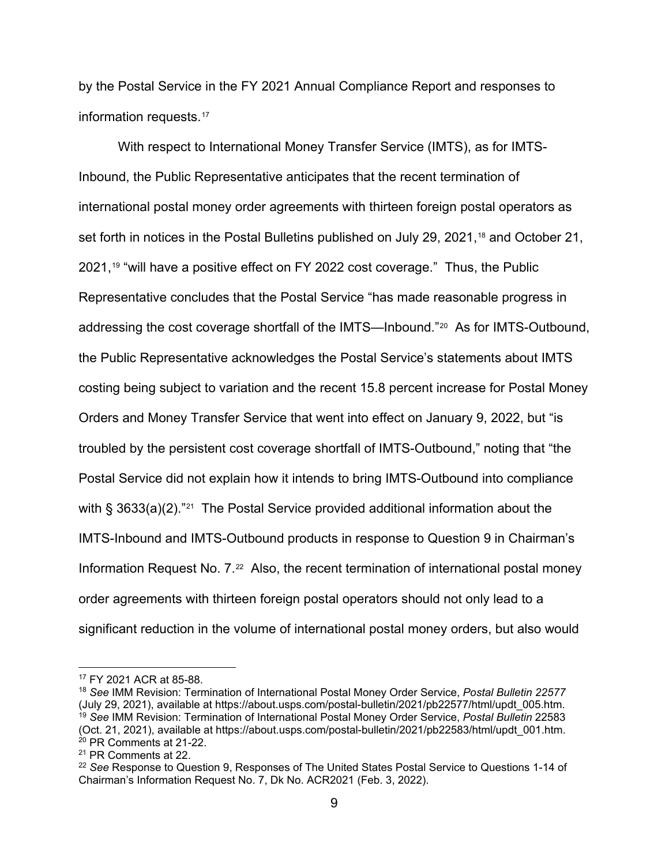by the Postal Service in the FY 2021 Annual Compliance Report and responses to information requests.<sup>[17](#page-8-0)</sup>

With respect to International Money Transfer Service (IMTS), as for IMTS-Inbound, the Public Representative anticipates that the recent termination of international postal money order agreements with thirteen foreign postal operators as set forth in notices in the Postal Bulletins published on July 29, 2021,<sup>[18](#page-8-1)</sup> and October 21, 2021,[19](#page-8-2) "will have a positive effect on FY 2022 cost coverage." Thus, the Public Representative concludes that the Postal Service "has made reasonable progress in addressing the cost coverage shortfall of the IMTS—Inbound."[20](#page-8-3) As for IMTS-Outbound, the Public Representative acknowledges the Postal Service's statements about IMTS costing being subject to variation and the recent 15.8 percent increase for Postal Money Orders and Money Transfer Service that went into effect on January 9, 2022, but "is troubled by the persistent cost coverage shortfall of IMTS-Outbound," noting that "the Postal Service did not explain how it intends to bring IMTS-Outbound into compliance with § 3633(a)(2)."<sup>21</sup> The Postal Service provided additional information about the IMTS-Inbound and IMTS-Outbound products in response to Question 9 in Chairman's Information Request No.  $7<sup>22</sup>$  $7<sup>22</sup>$  $7<sup>22</sup>$  Also, the recent termination of international postal money order agreements with thirteen foreign postal operators should not only lead to a significant reduction in the volume of international postal money orders, but also would

<span id="page-8-0"></span><sup>17</sup> FY 2021 ACR at 85-88.

<span id="page-8-2"></span><span id="page-8-1"></span><sup>18</sup> *See* IMM Revision: Termination of International Postal Money Order Service, *Postal Bulletin 22577*  (July 29, 2021), available at https://about.usps.com/postal-bulletin/2021/pb22577/html/updt\_005.htm. <sup>19</sup> *See* IMM Revision: Termination of International Postal Money Order Service, *Postal Bulletin* 22583 (Oct. 21, 2021), available at https://about.usps.com/postal-bulletin/2021/pb22583/html/updt\_001.htm.  $20$  PR Comments at 21-22.

<span id="page-8-4"></span><span id="page-8-3"></span><sup>21</sup> PR Comments at 22.

<span id="page-8-5"></span><sup>22</sup> *See* Response to Question 9, Responses of The United States Postal Service to Questions 1-14 of Chairman's Information Request No. 7, Dk No. ACR2021 (Feb. 3, 2022).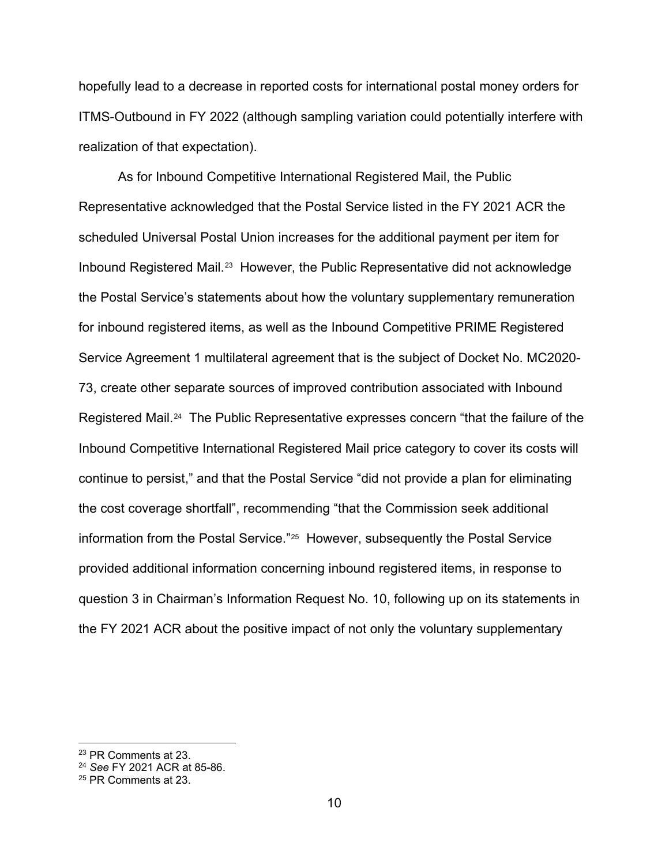hopefully lead to a decrease in reported costs for international postal money orders for ITMS-Outbound in FY 2022 (although sampling variation could potentially interfere with realization of that expectation).

As for Inbound Competitive International Registered Mail, the Public Representative acknowledged that the Postal Service listed in the FY 2021 ACR the scheduled Universal Postal Union increases for the additional payment per item for Inbound Registered Mail.[23](#page-9-0) However, the Public Representative did not acknowledge the Postal Service's statements about how the voluntary supplementary remuneration for inbound registered items, as well as the Inbound Competitive PRIME Registered Service Agreement 1 multilateral agreement that is the subject of Docket No. MC2020- 73, create other separate sources of improved contribution associated with Inbound Registered Mail.[24](#page-9-1) The Public Representative expresses concern "that the failure of the Inbound Competitive International Registered Mail price category to cover its costs will continue to persist," and that the Postal Service "did not provide a plan for eliminating the cost coverage shortfall", recommending "that the Commission seek additional information from the Postal Service."[25](#page-9-2) However, subsequently the Postal Service provided additional information concerning inbound registered items, in response to question 3 in Chairman's Information Request No. 10, following up on its statements in the FY 2021 ACR about the positive impact of not only the voluntary supplementary

<span id="page-9-0"></span><sup>23</sup> PR Comments at 23.

<span id="page-9-1"></span><sup>24</sup> *See* FY 2021 ACR at 85-86.

<span id="page-9-2"></span><sup>25</sup> PR Comments at 23.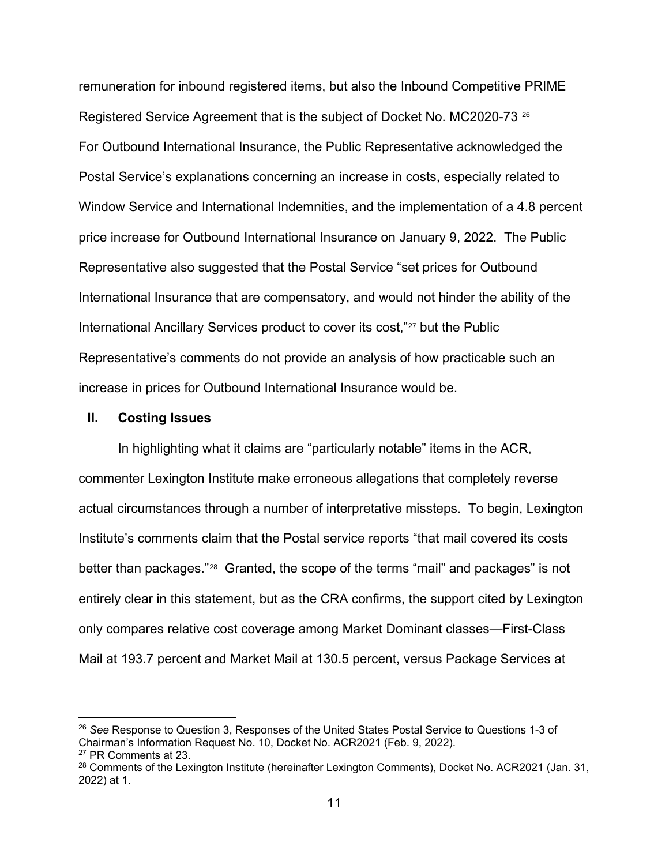remuneration for inbound registered items, but also the Inbound Competitive PRIME Registered Service Agreement that is the subject of Docket No. MC2020-73<sup>[26](#page-10-0)</sup> For Outbound International Insurance, the Public Representative acknowledged the Postal Service's explanations concerning an increase in costs, especially related to Window Service and International Indemnities, and the implementation of a 4.8 percent price increase for Outbound International Insurance on January 9, 2022. The Public Representative also suggested that the Postal Service "set prices for Outbound International Insurance that are compensatory, and would not hinder the ability of the International Ancillary Services product to cover its cost,"[27](#page-10-1) but the Public Representative's comments do not provide an analysis of how practicable such an increase in prices for Outbound International Insurance would be.

#### **II. Costing Issues**

In highlighting what it claims are "particularly notable" items in the ACR, commenter Lexington Institute make erroneous allegations that completely reverse actual circumstances through a number of interpretative missteps. To begin, Lexington Institute's comments claim that the Postal service reports "that mail covered its costs better than packages."[28](#page-10-2) Granted, the scope of the terms "mail" and packages" is not entirely clear in this statement, but as the CRA confirms, the support cited by Lexington only compares relative cost coverage among Market Dominant classes—First-Class Mail at 193.7 percent and Market Mail at 130.5 percent, versus Package Services at

<span id="page-10-0"></span><sup>26</sup> *See* Response to Question 3, Responses of the United States Postal Service to Questions 1-3 of Chairman's Information Request No. 10, Docket No. ACR2021 (Feb. 9, 2022). <sup>27</sup> PR Comments at 23.

<span id="page-10-2"></span><span id="page-10-1"></span><sup>&</sup>lt;sup>28</sup> Comments of the Lexington Institute (hereinafter Lexington Comments), Docket No. ACR2021 (Jan. 31, 2022) at 1.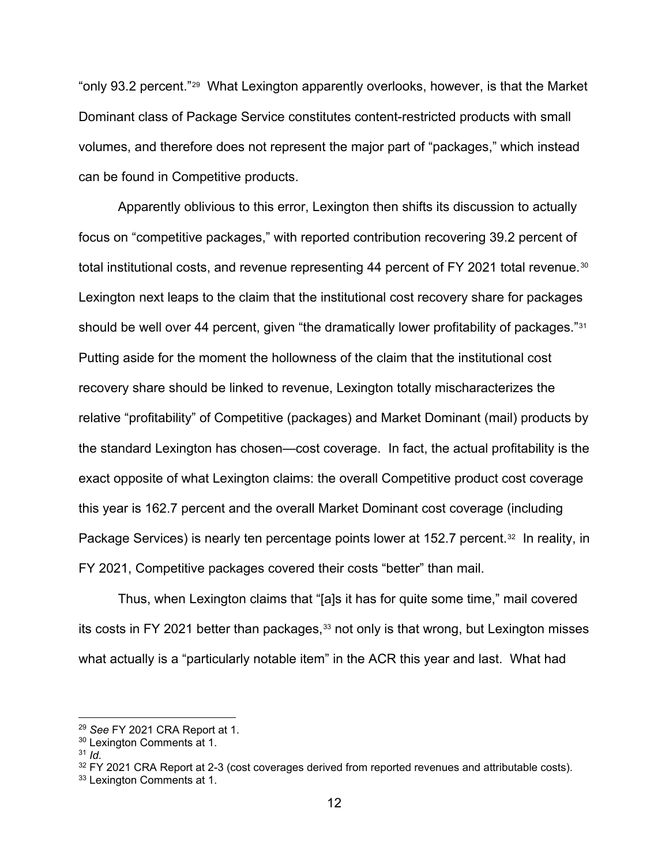"only 93.2 percent."[29](#page-11-0) What Lexington apparently overlooks, however, is that the Market Dominant class of Package Service constitutes content-restricted products with small volumes, and therefore does not represent the major part of "packages," which instead can be found in Competitive products.

Apparently oblivious to this error, Lexington then shifts its discussion to actually focus on "competitive packages," with reported contribution recovering 39.2 percent of total institutional costs, and revenue representing 44 percent of FY 2021 total revenue.<sup>30</sup> Lexington next leaps to the claim that the institutional cost recovery share for packages should be well over 44 percent, given "the dramatically lower profitability of packages."<sup>[31](#page-11-2)</sup> Putting aside for the moment the hollowness of the claim that the institutional cost recovery share should be linked to revenue, Lexington totally mischaracterizes the relative "profitability" of Competitive (packages) and Market Dominant (mail) products by the standard Lexington has chosen—cost coverage. In fact, the actual profitability is the exact opposite of what Lexington claims: the overall Competitive product cost coverage this year is 162.7 percent and the overall Market Dominant cost coverage (including Package Services) is nearly ten percentage points lower at 152.7 percent.<sup>32</sup> In reality, in FY 2021, Competitive packages covered their costs "better" than mail.

Thus, when Lexington claims that "[a]s it has for quite some time," mail covered its costs in FY 2021 better than packages, $33$  not only is that wrong, but Lexington misses what actually is a "particularly notable item" in the ACR this year and last. What had

<span id="page-11-0"></span><sup>29</sup> *See* FY 2021 CRA Report at 1.

<span id="page-11-1"></span><sup>&</sup>lt;sup>30</sup> Lexington Comments at 1.

<span id="page-11-2"></span><sup>31</sup> *Id.*

<span id="page-11-3"></span> $32$  FY 2021 CRA Report at 2-3 (cost coverages derived from reported revenues and attributable costs).

<span id="page-11-4"></span><sup>&</sup>lt;sup>33</sup> Lexington Comments at 1.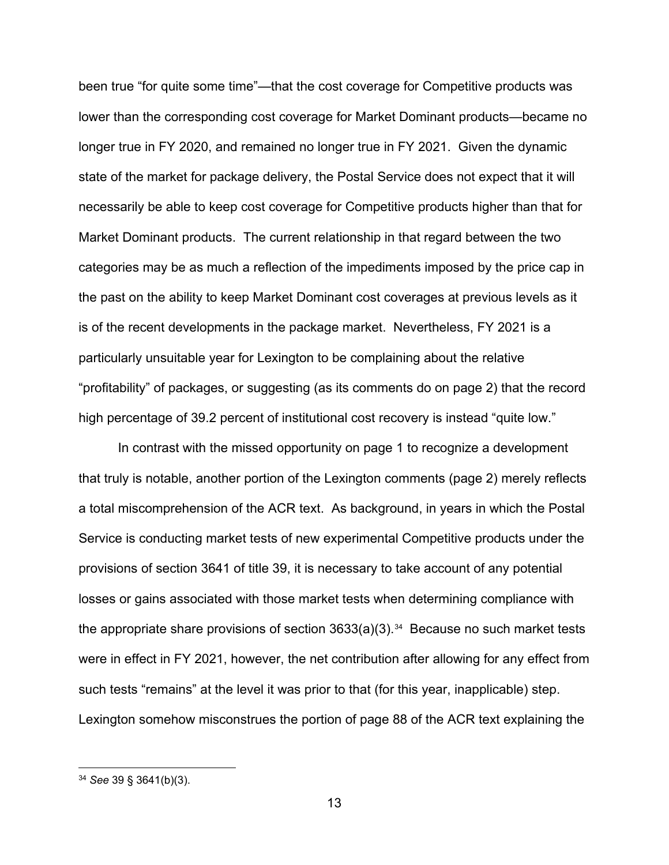been true "for quite some time"—that the cost coverage for Competitive products was lower than the corresponding cost coverage for Market Dominant products—became no longer true in FY 2020, and remained no longer true in FY 2021. Given the dynamic state of the market for package delivery, the Postal Service does not expect that it will necessarily be able to keep cost coverage for Competitive products higher than that for Market Dominant products. The current relationship in that regard between the two categories may be as much a reflection of the impediments imposed by the price cap in the past on the ability to keep Market Dominant cost coverages at previous levels as it is of the recent developments in the package market. Nevertheless, FY 2021 is a particularly unsuitable year for Lexington to be complaining about the relative "profitability" of packages, or suggesting (as its comments do on page 2) that the record high percentage of 39.2 percent of institutional cost recovery is instead "quite low."

In contrast with the missed opportunity on page 1 to recognize a development that truly is notable, another portion of the Lexington comments (page 2) merely reflects a total miscomprehension of the ACR text. As background, in years in which the Postal Service is conducting market tests of new experimental Competitive products under the provisions of section 3641 of title 39, it is necessary to take account of any potential losses or gains associated with those market tests when determining compliance with the appropriate share provisions of section  $3633(a)(3)$ .<sup>34</sup> Because no such market tests were in effect in FY 2021, however, the net contribution after allowing for any effect from such tests "remains" at the level it was prior to that (for this year, inapplicable) step. Lexington somehow misconstrues the portion of page 88 of the ACR text explaining the

<span id="page-12-0"></span><sup>34</sup> *See* 39 § 3641(b)(3).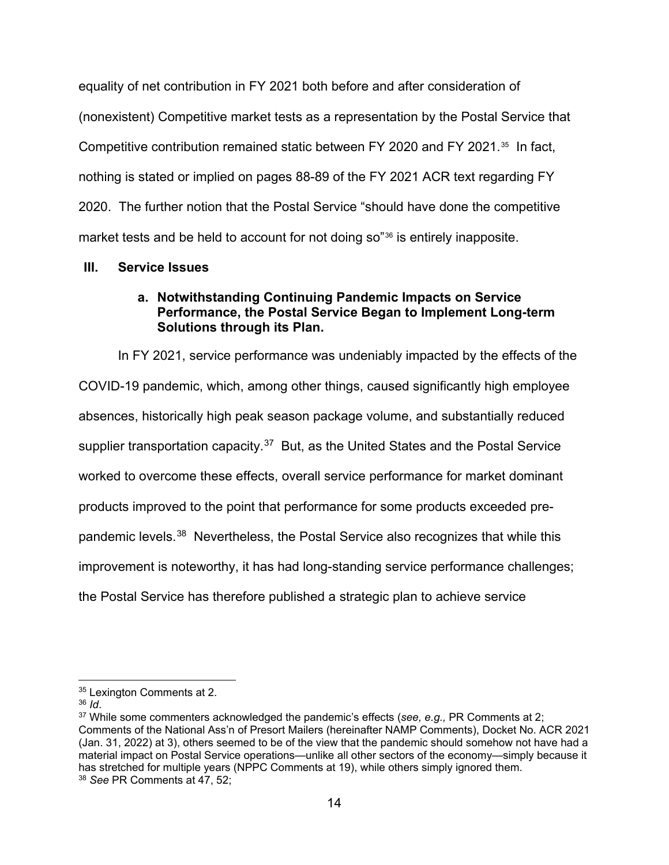equality of net contribution in FY 2021 both before and after consideration of (nonexistent) Competitive market tests as a representation by the Postal Service that Competitive contribution remained static between FY 2020 and FY 2021.[35](#page-13-0) In fact, nothing is stated or implied on pages 88-89 of the FY 2021 ACR text regarding FY 2020. The further notion that the Postal Service "should have done the competitive market tests and be held to account for not doing so"[36](#page-13-1) is entirely inapposite.

### **III. Service Issues**

## **a. Notwithstanding Continuing Pandemic Impacts on Service Performance, the Postal Service Began to Implement Long-term Solutions through its Plan.**

In FY 2021, service performance was undeniably impacted by the effects of the COVID-19 pandemic, which, among other things, caused significantly high employee absences, historically high peak season package volume, and substantially reduced supplier transportation capacity.<sup>37</sup> But, as the United States and the Postal Service worked to overcome these effects, overall service performance for market dominant products improved to the point that performance for some products exceeded prepandemic levels.[38](#page-13-3) Nevertheless, the Postal Service also recognizes that while this improvement is noteworthy, it has had long-standing service performance challenges; the Postal Service has therefore published a strategic plan to achieve service

<span id="page-13-0"></span><sup>&</sup>lt;sup>35</sup> Lexington Comments at 2.

<span id="page-13-1"></span><sup>36</sup> *Id*.

<span id="page-13-3"></span><span id="page-13-2"></span><sup>37</sup> While some commenters acknowledged the pandemic's effects (*see, e.g.,* PR Comments at 2; Comments of the National Ass'n of Presort Mailers (hereinafter NAMP Comments), Docket No. ACR 2021 (Jan. 31, 2022) at 3), others seemed to be of the view that the pandemic should somehow not have had a material impact on Postal Service operations—unlike all other sectors of the economy—simply because it has stretched for multiple years (NPPC Comments at 19), while others simply ignored them. <sup>38</sup> *See* PR Comments at 47, 52;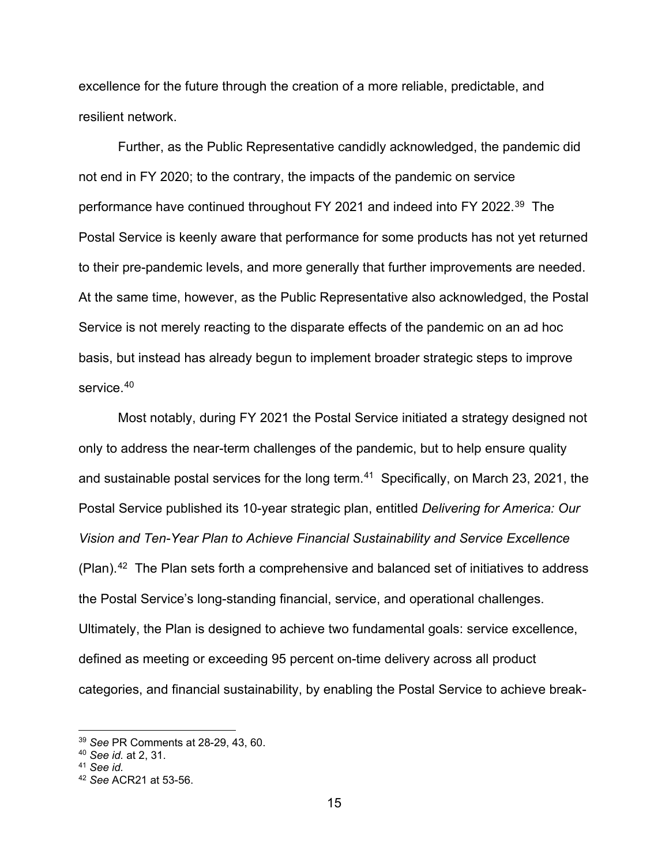excellence for the future through the creation of a more reliable, predictable, and resilient network.

Further, as the Public Representative candidly acknowledged, the pandemic did not end in FY 2020; to the contrary, the impacts of the pandemic on service performance have continued throughout FY 2021 and indeed into FY 2022.[39](#page-14-0) The Postal Service is keenly aware that performance for some products has not yet returned to their pre-pandemic levels, and more generally that further improvements are needed. At the same time, however, as the Public Representative also acknowledged, the Postal Service is not merely reacting to the disparate effects of the pandemic on an ad hoc basis, but instead has already begun to implement broader strategic steps to improve service.<sup>[40](#page-14-1)</sup>

Most notably, during FY 2021 the Postal Service initiated a strategy designed not only to address the near-term challenges of the pandemic, but to help ensure quality and sustainable postal services for the long term.<sup>[41](#page-14-2)</sup> Specifically, on March 23, 2021, the Postal Service published its 10-year strategic plan, entitled *Delivering for America: Our Vision and Ten-Year Plan to Achieve Financial Sustainability and Service Excellence*   $(Plan).<sup>42</sup>$  The Plan sets forth a comprehensive and balanced set of initiatives to address the Postal Service's long-standing financial, service, and operational challenges. Ultimately, the Plan is designed to achieve two fundamental goals: service excellence, defined as meeting or exceeding 95 percent on-time delivery across all product categories, and financial sustainability, by enabling the Postal Service to achieve break-

<span id="page-14-0"></span><sup>39</sup> *See* PR Comments at 28-29, 43, 60.

<span id="page-14-1"></span><sup>40</sup> *See id.* at 2, 31.

<span id="page-14-2"></span><sup>41</sup> *See id.*

<span id="page-14-3"></span><sup>42</sup> *See* ACR21 at 53-56.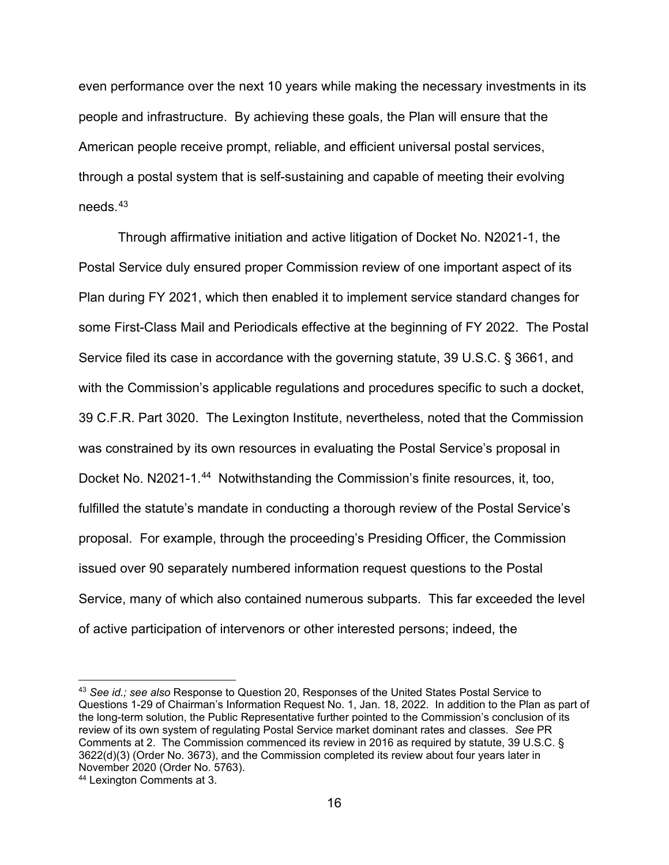even performance over the next 10 years while making the necessary investments in its people and infrastructure. By achieving these goals, the Plan will ensure that the American people receive prompt, reliable, and efficient universal postal services, through a postal system that is self-sustaining and capable of meeting their evolving needs.[43](#page-15-0)

Through affirmative initiation and active litigation of Docket No. N2021-1, the Postal Service duly ensured proper Commission review of one important aspect of its Plan during FY 2021, which then enabled it to implement service standard changes for some First-Class Mail and Periodicals effective at the beginning of FY 2022. The Postal Service filed its case in accordance with the governing statute, 39 U.S.C. § 3661, and with the Commission's applicable regulations and procedures specific to such a docket, 39 C.F.R. Part 3020. The Lexington Institute, nevertheless, noted that the Commission was constrained by its own resources in evaluating the Postal Service's proposal in Docket No. N2021-1.<sup>[44](#page-15-1)</sup> Notwithstanding the Commission's finite resources, it, too, fulfilled the statute's mandate in conducting a thorough review of the Postal Service's proposal. For example, through the proceeding's Presiding Officer, the Commission issued over 90 separately numbered information request questions to the Postal Service, many of which also contained numerous subparts. This far exceeded the level of active participation of intervenors or other interested persons; indeed, the

<span id="page-15-0"></span><sup>43</sup> *See id.; see also* Response to Question 20, Responses of the United States Postal Service to Questions 1-29 of Chairman's Information Request No. 1, Jan. 18, 2022. In addition to the Plan as part of the long-term solution, the Public Representative further pointed to the Commission's conclusion of its review of its own system of regulating Postal Service market dominant rates and classes. *See* PR Comments at 2. The Commission commenced its review in 2016 as required by statute, 39 U.S.C. § 3622(d)(3) (Order No. 3673), and the Commission completed its review about four years later in November 2020 (Order No. 5763).

<span id="page-15-1"></span><sup>44</sup> Lexington Comments at 3.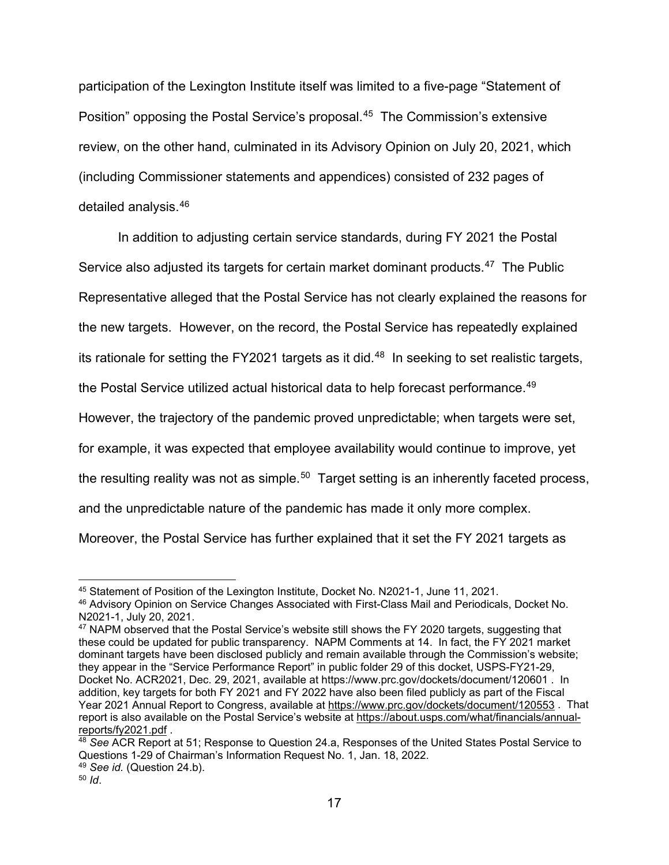participation of the Lexington Institute itself was limited to a five-page "Statement of Position" opposing the Postal Service's proposal.[45](#page-16-0) The Commission's extensive review, on the other hand, culminated in its Advisory Opinion on July 20, 2021, which (including Commissioner statements and appendices) consisted of 232 pages of detailed analysis.[46](#page-16-1)

In addition to adjusting certain service standards, during FY 2021 the Postal Service also adjusted its targets for certain market dominant products.<sup>47</sup> The Public Representative alleged that the Postal Service has not clearly explained the reasons for the new targets. However, on the record, the Postal Service has repeatedly explained its rationale for setting the FY2021 targets as it did. [48](#page-16-3) In seeking to set realistic targets, the Postal Service utilized actual historical data to help forecast performance.<sup>49</sup> However, the trajectory of the pandemic proved unpredictable; when targets were set, for example, it was expected that employee availability would continue to improve, yet the resulting reality was not as simple.<sup>[50](#page-16-5)</sup> Target setting is an inherently faceted process, and the unpredictable nature of the pandemic has made it only more complex. Moreover, the Postal Service has further explained that it set the FY 2021 targets as

<span id="page-16-0"></span><sup>45</sup> Statement of Position of the Lexington Institute, Docket No. N2021-1, June 11, 2021.

<span id="page-16-1"></span><sup>46</sup> Advisory Opinion on Service Changes Associated with First-Class Mail and Periodicals, Docket No. N2021-1, July 20, 2021.

<span id="page-16-2"></span><sup>&</sup>lt;sup>47</sup> NAPM observed that the Postal Service's website still shows the FY 2020 targets, suggesting that these could be updated for public transparency. NAPM Comments at 14. In fact, the FY 2021 market dominant targets have been disclosed publicly and remain available through the Commission's website; they appear in the "Service Performance Report" in public folder 29 of this docket, USPS-FY21-29, Docket No. ACR2021, Dec. 29, 2021, available at https://www.prc.gov/dockets/document/120601 . In addition, key targets for both FY 2021 and FY 2022 have also been filed publicly as part of the Fiscal Year 2021 Annual Report to Congress, available at<https://www.prc.gov/dockets/document/120553>. That report is also available on the Postal Service's website at [https://about.usps.com/what/financials/annual](https://about.usps.com/what/financials/annual-reports/fy2021.pdf)[reports/fy2021.pdf](https://about.usps.com/what/financials/annual-reports/fy2021.pdf) .

<span id="page-16-3"></span><sup>48</sup> *See* ACR Report at 51; Response to Question 24.a, Responses of the United States Postal Service to Questions 1-29 of Chairman's Information Request No. 1, Jan. 18, 2022.

<span id="page-16-4"></span><sup>49</sup> *See id.* (Question 24.b).

<span id="page-16-5"></span><sup>50</sup> *Id*.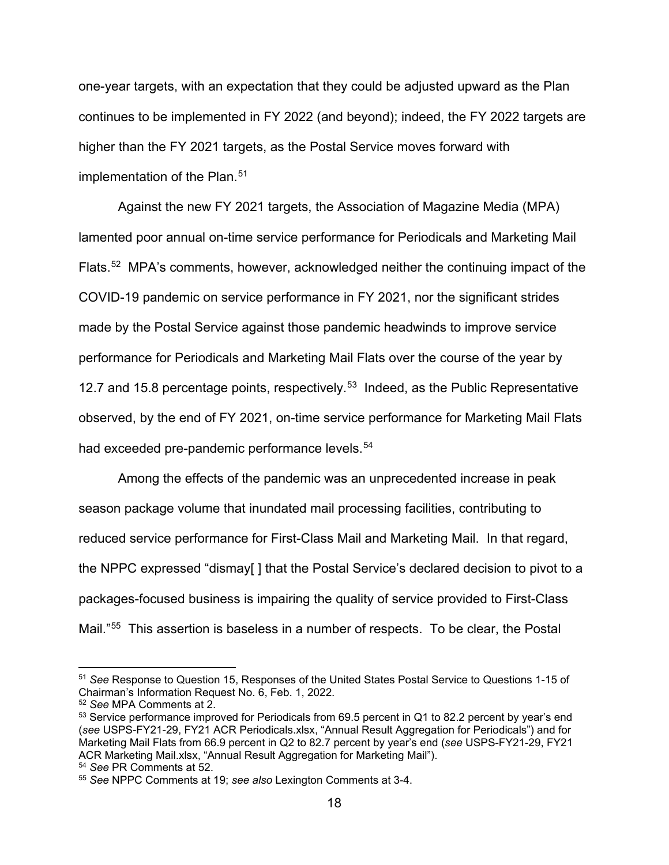one-year targets, with an expectation that they could be adjusted upward as the Plan continues to be implemented in FY 2022 (and beyond); indeed, the FY 2022 targets are higher than the FY 2021 targets, as the Postal Service moves forward with implementation of the Plan. [51](#page-17-0)

Against the new FY 2021 targets, the Association of Magazine Media (MPA) lamented poor annual on-time service performance for Periodicals and Marketing Mail Flats.[52](#page-17-1) MPA's comments, however, acknowledged neither the continuing impact of the COVID-19 pandemic on service performance in FY 2021, nor the significant strides made by the Postal Service against those pandemic headwinds to improve service performance for Periodicals and Marketing Mail Flats over the course of the year by 12.7 and 15.8 percentage points, respectively.<sup>53</sup> Indeed, as the Public Representative observed, by the end of FY 2021, on-time service performance for Marketing Mail Flats had exceeded pre-pandemic performance levels.<sup>[54](#page-17-3)</sup>

Among the effects of the pandemic was an unprecedented increase in peak season package volume that inundated mail processing facilities, contributing to reduced service performance for First-Class Mail and Marketing Mail. In that regard, the NPPC expressed "dismay[ ] that the Postal Service's declared decision to pivot to a packages-focused business is impairing the quality of service provided to First-Class Mail."[55](#page-18-0) This assertion is baseless in a number of respects. To be clear, the Postal

<sup>51</sup> *See* Response to Question 15, Responses of the United States Postal Service to Questions 1-15 of Chairman's Information Request No. 6, Feb. 1, 2022.

<span id="page-17-0"></span><sup>52</sup> *See* MPA Comments at 2.

<span id="page-17-2"></span><span id="page-17-1"></span><sup>53</sup> Service performance improved for Periodicals from 69.5 percent in Q1 to 82.2 percent by year's end (*see* USPS-FY21-29, FY21 ACR Periodicals.xlsx, "Annual Result Aggregation for Periodicals") and for Marketing Mail Flats from 66.9 percent in Q2 to 82.7 percent by year's end (*see* USPS-FY21-29, FY21 ACR Marketing Mail.xlsx, "Annual Result Aggregation for Marketing Mail").

<sup>54</sup> *See* PR Comments at 52.

<span id="page-17-3"></span><sup>55</sup> *See* NPPC Comments at 19; *see also* Lexington Comments at 3-4.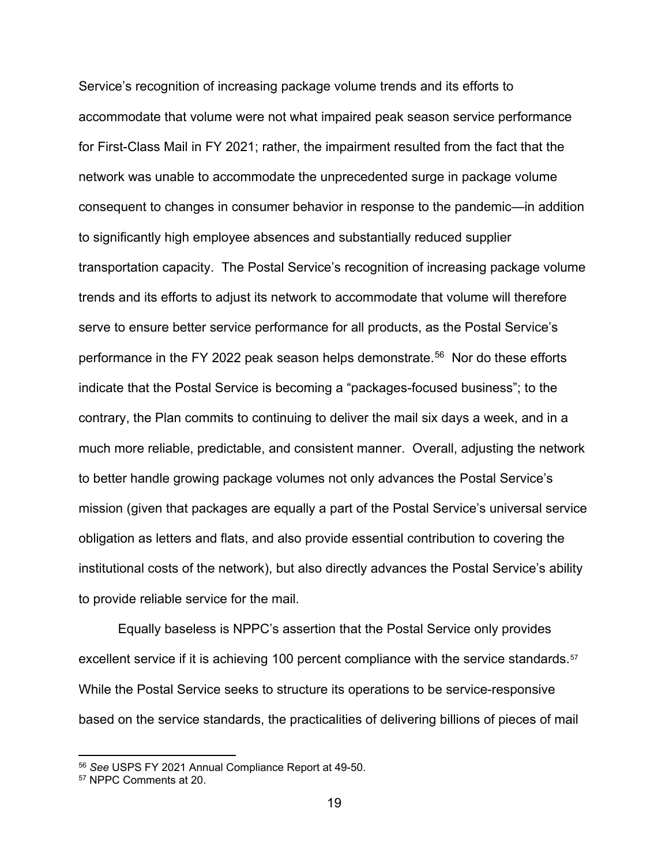Service's recognition of increasing package volume trends and its efforts to accommodate that volume were not what impaired peak season service performance for First-Class Mail in FY 2021; rather, the impairment resulted from the fact that the network was unable to accommodate the unprecedented surge in package volume consequent to changes in consumer behavior in response to the pandemic—in addition to significantly high employee absences and substantially reduced supplier transportation capacity. The Postal Service's recognition of increasing package volume trends and its efforts to adjust its network to accommodate that volume will therefore serve to ensure better service performance for all products, as the Postal Service's performance in the FY 2022 peak season helps demonstrate. [56](#page-18-1) Nor do these efforts indicate that the Postal Service is becoming a "packages-focused business"; to the contrary, the Plan commits to continuing to deliver the mail six days a week, and in a much more reliable, predictable, and consistent manner. Overall, adjusting the network to better handle growing package volumes not only advances the Postal Service's mission (given that packages are equally a part of the Postal Service's universal service obligation as letters and flats, and also provide essential contribution to covering the institutional costs of the network), but also directly advances the Postal Service's ability to provide reliable service for the mail.

Equally baseless is NPPC's assertion that the Postal Service only provides excellent service if it is achieving 100 percent compliance with the service standards.<sup>[57](#page-19-0)</sup> While the Postal Service seeks to structure its operations to be service-responsive based on the service standards, the practicalities of delivering billions of pieces of mail

<span id="page-18-0"></span><sup>56</sup> *See* USPS FY 2021 Annual Compliance Report at 49-50.

<span id="page-18-1"></span><sup>57</sup> NPPC Comments at 20.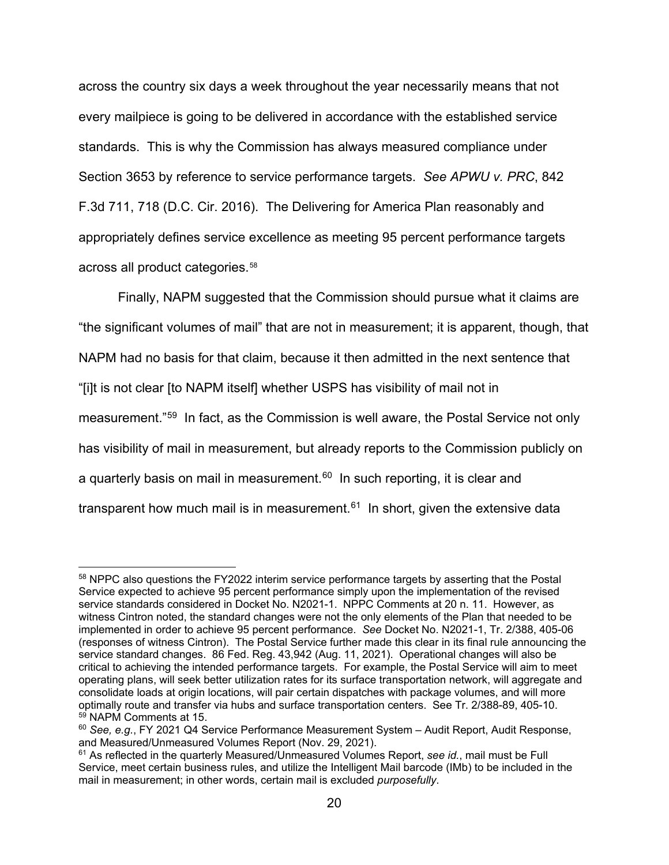across the country six days a week throughout the year necessarily means that not every mailpiece is going to be delivered in accordance with the established service standards. This is why the Commission has always measured compliance under Section 3653 by reference to service performance targets. *See APWU v. PRC*, 842 F.3d 711, 718 (D.C. Cir. 2016). The Delivering for America Plan reasonably and appropriately defines service excellence as meeting 95 percent performance targets across all product categories.[58](#page-19-1)

Finally, NAPM suggested that the Commission should pursue what it claims are "the significant volumes of mail" that are not in measurement; it is apparent, though, that NAPM had no basis for that claim, because it then admitted in the next sentence that "[i]t is not clear [to NAPM itself] whether USPS has visibility of mail not in measurement."[59](#page-19-2) In fact, as the Commission is well aware, the Postal Service not only has visibility of mail in measurement, but already reports to the Commission publicly on a quarterly basis on mail in measurement.<sup>[60](#page-20-0)</sup> In such reporting, it is clear and transparent how much mail is in measurement.<sup>[61](#page-20-1)</sup> In short, given the extensive data

<span id="page-19-1"></span><span id="page-19-0"></span><sup>58</sup> NPPC also questions the FY2022 interim service performance targets by asserting that the Postal Service expected to achieve 95 percent performance simply upon the implementation of the revised service standards considered in Docket No. N2021-1. NPPC Comments at 20 n. 11. However, as witness Cintron noted, the standard changes were not the only elements of the Plan that needed to be implemented in order to achieve 95 percent performance. *See* Docket No. N2021-1, Tr. 2/388, 405-06 (responses of witness Cintron). The Postal Service further made this clear in its final rule announcing the service standard changes. 86 Fed. Reg. 43,942 (Aug. 11, 2021). Operational changes will also be critical to achieving the intended performance targets. For example, the Postal Service will aim to meet operating plans, will seek better utilization rates for its surface transportation network, will aggregate and consolidate loads at origin locations, will pair certain dispatches with package volumes, and will more optimally route and transfer via hubs and surface transportation centers. See Tr. 2/388-89, 405-10. 59 NAPM Comments at 15.

<sup>60</sup> *See, e.g.*, FY 2021 Q4 Service Performance Measurement System – Audit Report, Audit Response, and Measured/Unmeasured Volumes Report (Nov. 29, 2021).

<span id="page-19-2"></span><sup>61</sup> As reflected in the quarterly Measured/Unmeasured Volumes Report, *see id.*, mail must be Full Service, meet certain business rules, and utilize the Intelligent Mail barcode (IMb) to be included in the mail in measurement; in other words, certain mail is excluded *purposefully*.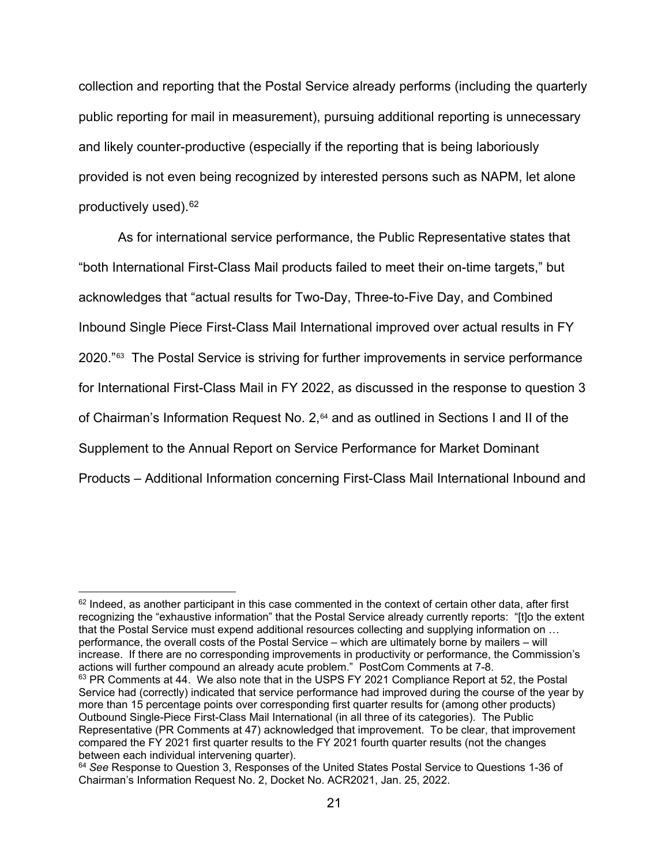collection and reporting that the Postal Service already performs (including the quarterly public reporting for mail in measurement), pursuing additional reporting is unnecessary and likely counter-productive (especially if the reporting that is being laboriously provided is not even being recognized by interested persons such as NAPM, let alone productively used). [62](#page-20-2)

As for international service performance, the Public Representative states that "both International First-Class Mail products failed to meet their on-time targets," but acknowledges that "actual results for Two-Day, Three-to-Five Day, and Combined Inbound Single Piece First-Class Mail International improved over actual results in FY 2020."[63](#page-20-3) The Postal Service is striving for further improvements in service performance for International First-Class Mail in FY 2022, as discussed in the response to question 3 of Chairman's Information Request No.  $2,64$  $2,64$  and as outlined in Sections I and II of the Supplement to the Annual Report on Service Performance for Market Dominant Products – Additional Information concerning First-Class Mail International Inbound and

<span id="page-20-3"></span><span id="page-20-2"></span><span id="page-20-1"></span><span id="page-20-0"></span> $62$  Indeed, as another participant in this case commented in the context of certain other data, after first recognizing the "exhaustive information" that the Postal Service already currently reports: "[t]o the extent that the Postal Service must expend additional resources collecting and supplying information on … performance, the overall costs of the Postal Service – which are ultimately borne by mailers – will increase. If there are no corresponding improvements in productivity or performance, the Commission's actions will further compound an already acute problem." PostCom Comments at 7-8. <sup>63</sup> PR Comments at 44. We also note that in the USPS FY 2021 Compliance Report at 52, the Postal Service had (correctly) indicated that service performance had improved during the course of the year by more than 15 percentage points over corresponding first quarter results for (among other products) Outbound Single-Piece First-Class Mail International (in all three of its categories). The Public Representative (PR Comments at 47) acknowledged that improvement. To be clear, that improvement compared the FY 2021 first quarter results to the FY 2021 fourth quarter results (not the changes between each individual intervening quarter).

<span id="page-20-4"></span><sup>64</sup> *See* Response to Question 3, Responses of the United States Postal Service to Questions 1-36 of Chairman's Information Request No. 2, Docket No. ACR2021, Jan. 25, 2022.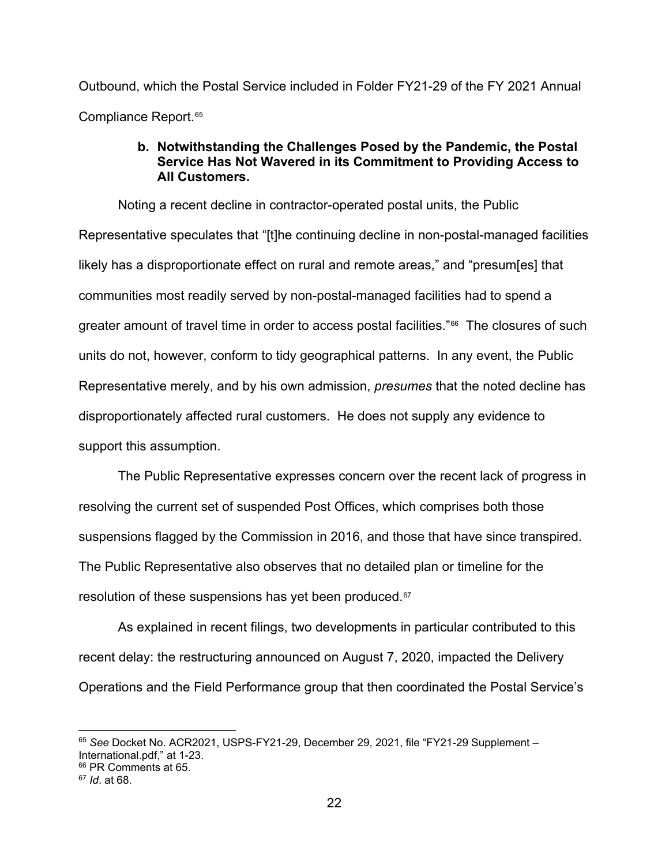Outbound, which the Postal Service included in Folder FY21-29 of the FY 2021 Annual Compliance Report.<sup>[65](#page-21-0)</sup>

# **b. Notwithstanding the Challenges Posed by the Pandemic, the Postal Service Has Not Wavered in its Commitment to Providing Access to All Customers.**

Noting a recent decline in contractor-operated postal units, the Public Representative speculates that "[t]he continuing decline in non-postal-managed facilities likely has a disproportionate effect on rural and remote areas," and "presum[es] that communities most readily served by non-postal-managed facilities had to spend a greater amount of travel time in order to access postal facilities."<sup>66</sup> The closures of such units do not, however, conform to tidy geographical patterns. In any event, the Public Representative merely, and by his own admission, *presumes* that the noted decline has disproportionately affected rural customers. He does not supply any evidence to support this assumption.

The Public Representative expresses concern over the recent lack of progress in resolving the current set of suspended Post Offices, which comprises both those suspensions flagged by the Commission in 2016, and those that have since transpired. The Public Representative also observes that no detailed plan or timeline for the resolution of these suspensions has yet been produced.<sup>[67](#page-21-2)</sup>

As explained in recent filings, two developments in particular contributed to this recent delay: the restructuring announced on August 7, 2020, impacted the Delivery Operations and the Field Performance group that then coordinated the Postal Service's

<span id="page-21-0"></span><sup>65</sup> *See* Docket No. ACR2021, USPS-FY21-29, December 29, 2021, file "FY21-29 Supplement – International.pdf," at 1-23.

<span id="page-21-1"></span><sup>&</sup>lt;sup>66</sup> PR Comments at 65.

<span id="page-21-2"></span><sup>67</sup> *Id*. at 68.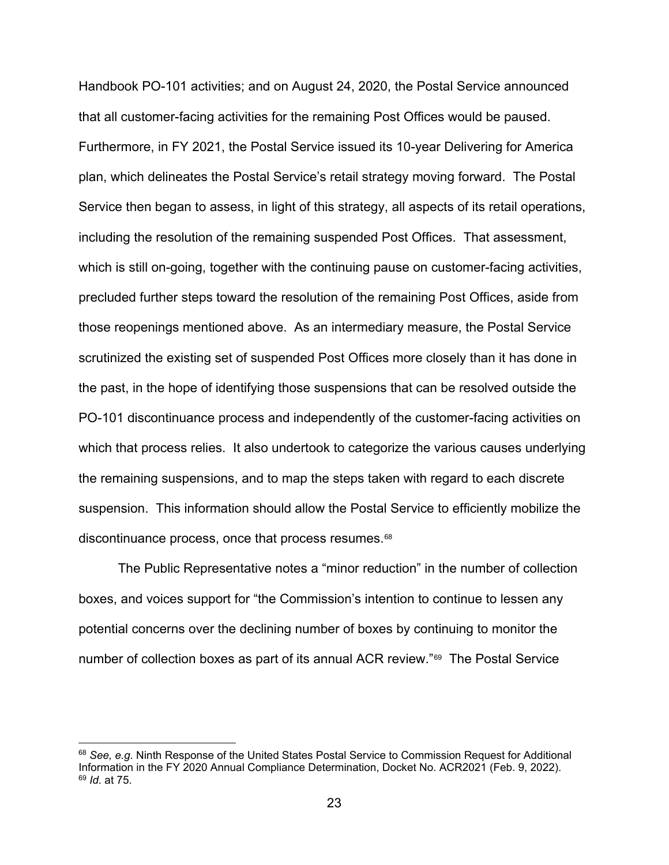Handbook PO-101 activities; and on August 24, 2020, the Postal Service announced that all customer-facing activities for the remaining Post Offices would be paused. Furthermore, in FY 2021, the Postal Service issued its 10-year Delivering for America plan, which delineates the Postal Service's retail strategy moving forward. The Postal Service then began to assess, in light of this strategy, all aspects of its retail operations, including the resolution of the remaining suspended Post Offices. That assessment, which is still on-going, together with the continuing pause on customer-facing activities, precluded further steps toward the resolution of the remaining Post Offices, aside from those reopenings mentioned above. As an intermediary measure, the Postal Service scrutinized the existing set of suspended Post Offices more closely than it has done in the past, in the hope of identifying those suspensions that can be resolved outside the PO-101 discontinuance process and independently of the customer-facing activities on which that process relies. It also undertook to categorize the various causes underlying the remaining suspensions, and to map the steps taken with regard to each discrete suspension. This information should allow the Postal Service to efficiently mobilize the discontinuance process, once that process resumes.[68](#page-22-0)

The Public Representative notes a "minor reduction" in the number of collection boxes, and voices support for "the Commission's intention to continue to lessen any potential concerns over the declining number of boxes by continuing to monitor the number of collection boxes as part of its annual ACR review."[69](#page-23-0) The Postal Service

<span id="page-22-0"></span><sup>68</sup> *See, e.g.* Ninth Response of the United States Postal Service to Commission Request for Additional Information in the FY 2020 Annual Compliance Determination, Docket No. ACR2021 (Feb. 9, 2022). <sup>69</sup> *Id.* at 75.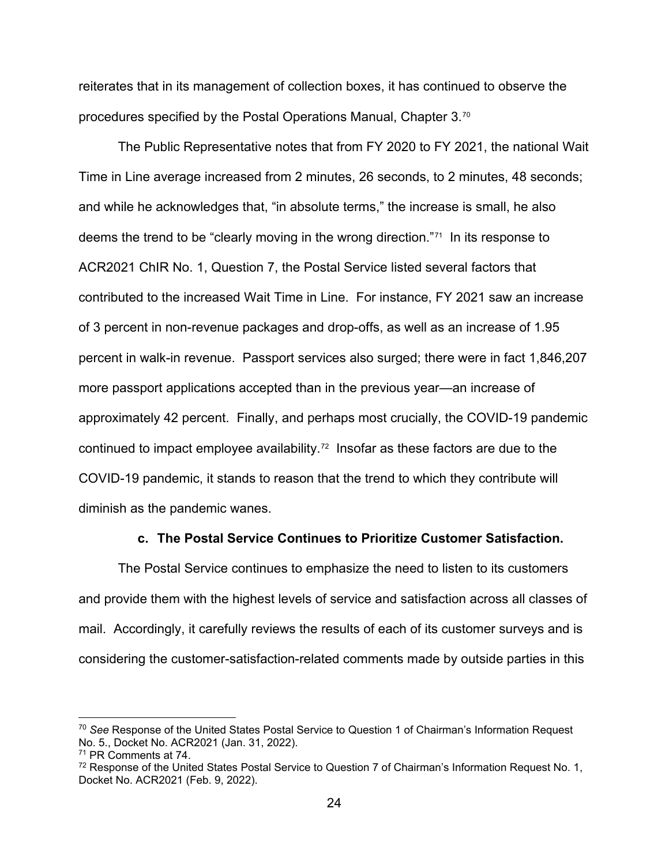reiterates that in its management of collection boxes, it has continued to observe the procedures specified by the Postal Operations Manual, Chapter 3.[70](#page-23-1) 

The Public Representative notes that from FY 2020 to FY 2021, the national Wait Time in Line average increased from 2 minutes, 26 seconds, to 2 minutes, 48 seconds; and while he acknowledges that, "in absolute terms," the increase is small, he also deems the trend to be "clearly moving in the wrong direction."[71](#page-23-2) In its response to ACR2021 ChIR No. 1, Question 7, the Postal Service listed several factors that contributed to the increased Wait Time in Line. For instance, FY 2021 saw an increase of 3 percent in non-revenue packages and drop-offs, as well as an increase of 1.95 percent in walk-in revenue. Passport services also surged; there were in fact 1,846,207 more passport applications accepted than in the previous year—an increase of approximately 42 percent. Finally, and perhaps most crucially, the COVID-19 pandemic continued to impact employee availability.[72](#page-23-3) Insofar as these factors are due to the COVID-19 pandemic, it stands to reason that the trend to which they contribute will diminish as the pandemic wanes.

#### **c. The Postal Service Continues to Prioritize Customer Satisfaction.**

The Postal Service continues to emphasize the need to listen to its customers and provide them with the highest levels of service and satisfaction across all classes of mail. Accordingly, it carefully reviews the results of each of its customer surveys and is considering the customer-satisfaction-related comments made by outside parties in this

<span id="page-23-1"></span><span id="page-23-0"></span><sup>70</sup> *See* Response of the United States Postal Service to Question 1 of Chairman's Information Request No. 5., Docket No. ACR2021 (Jan. 31, 2022).

<span id="page-23-2"></span><sup>71</sup> PR Comments at 74.

<span id="page-23-3"></span> $72$  Response of the United States Postal Service to Question 7 of Chairman's Information Request No. 1, Docket No. ACR2021 (Feb. 9, 2022).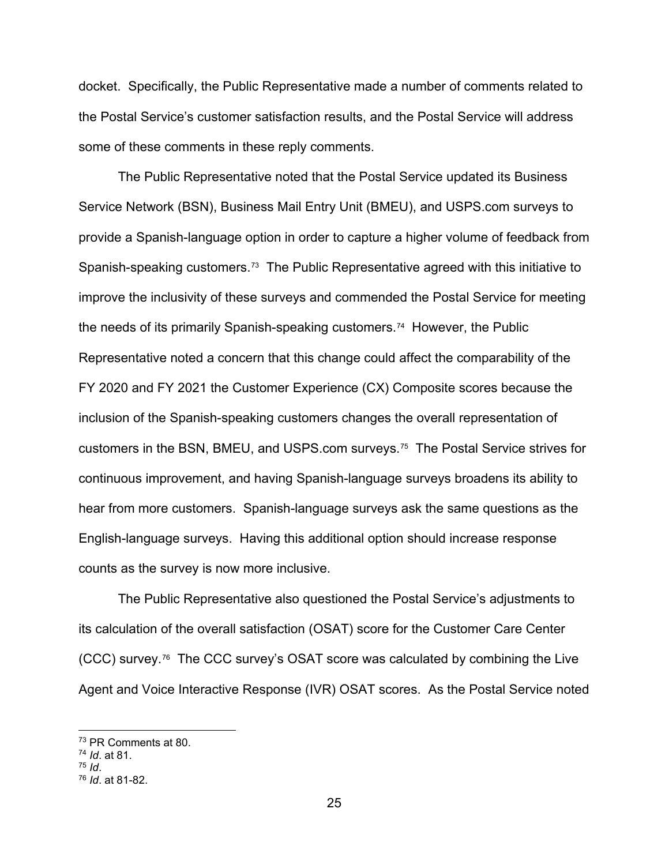docket. Specifically, the Public Representative made a number of comments related to the Postal Service's customer satisfaction results, and the Postal Service will address some of these comments in these reply comments.

The Public Representative noted that the Postal Service updated its Business Service Network (BSN), Business Mail Entry Unit (BMEU), and USPS.com surveys to provide a Spanish-language option in order to capture a higher volume of feedback from Spanish-speaking customers.[73](#page-24-0) The Public Representative agreed with this initiative to improve the inclusivity of these surveys and commended the Postal Service for meeting the needs of its primarily Spanish-speaking customers.[74](#page-24-1) However, the Public Representative noted a concern that this change could affect the comparability of the FY 2020 and FY 2021 the Customer Experience (CX) Composite scores because the inclusion of the Spanish-speaking customers changes the overall representation of customers in the BSN, BMEU, and USPS.com surveys.[75](#page-24-2) The Postal Service strives for continuous improvement, and having Spanish-language surveys broadens its ability to hear from more customers. Spanish-language surveys ask the same questions as the English-language surveys. Having this additional option should increase response counts as the survey is now more inclusive.

The Public Representative also questioned the Postal Service's adjustments to its calculation of the overall satisfaction (OSAT) score for the Customer Care Center (CCC) survey.[76](#page-24-3) The CCC survey's OSAT score was calculated by combining the Live Agent and Voice Interactive Response (IVR) OSAT scores. As the Postal Service noted

<sup>73</sup> PR Comments at 80.

<span id="page-24-2"></span><span id="page-24-1"></span><span id="page-24-0"></span><sup>74</sup> *Id*. at 81.

<span id="page-24-3"></span><sup>75</sup> *Id*. 76 *Id*. at 81-82.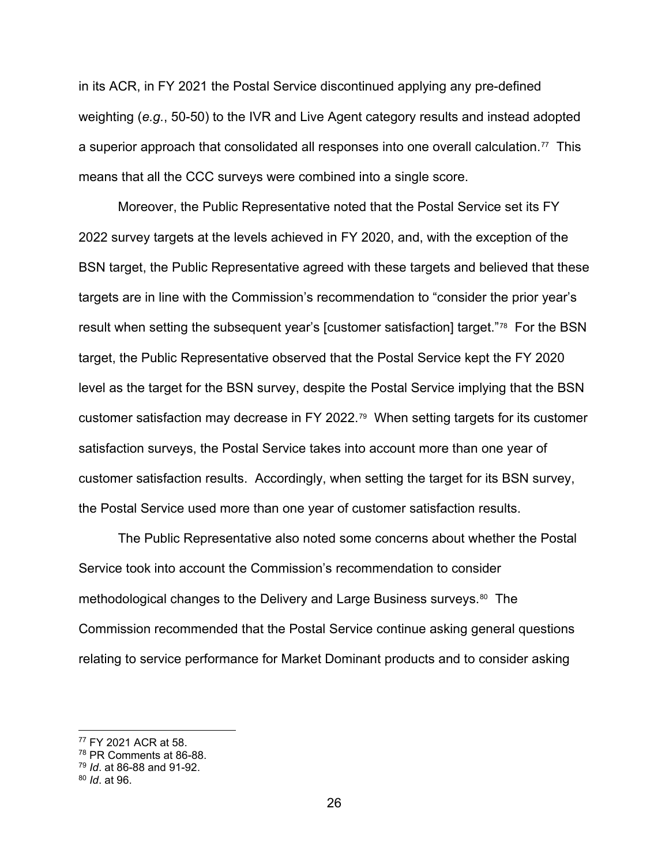in its ACR, in FY 2021 the Postal Service discontinued applying any pre-defined weighting (*e.g.*, 50-50) to the IVR and Live Agent category results and instead adopted a superior approach that consolidated all responses into one overall calculation.[77](#page-25-0) This means that all the CCC surveys were combined into a single score.

Moreover, the Public Representative noted that the Postal Service set its FY 2022 survey targets at the levels achieved in FY 2020, and, with the exception of the BSN target, the Public Representative agreed with these targets and believed that these targets are in line with the Commission's recommendation to "consider the prior year's result when setting the subsequent year's [customer satisfaction] target."[78](#page-25-1) For the BSN target, the Public Representative observed that the Postal Service kept the FY 2020 level as the target for the BSN survey, despite the Postal Service implying that the BSN customer satisfaction may decrease in FY 2022.[79](#page-25-2) When setting targets for its customer satisfaction surveys, the Postal Service takes into account more than one year of customer satisfaction results. Accordingly, when setting the target for its BSN survey, the Postal Service used more than one year of customer satisfaction results.

The Public Representative also noted some concerns about whether the Postal Service took into account the Commission's recommendation to consider methodological changes to the Delivery and Large Business surveys.[80](#page-25-3) The Commission recommended that the Postal Service continue asking general questions relating to service performance for Market Dominant products and to consider asking

<span id="page-25-0"></span><sup>77</sup> FY 2021 ACR at 58.

<span id="page-25-1"></span><sup>78</sup> PR Comments at 86-88.

<span id="page-25-2"></span><sup>79</sup> *Id*. at 86-88 and 91-92.

<span id="page-25-3"></span><sup>80</sup> *Id*. at 96.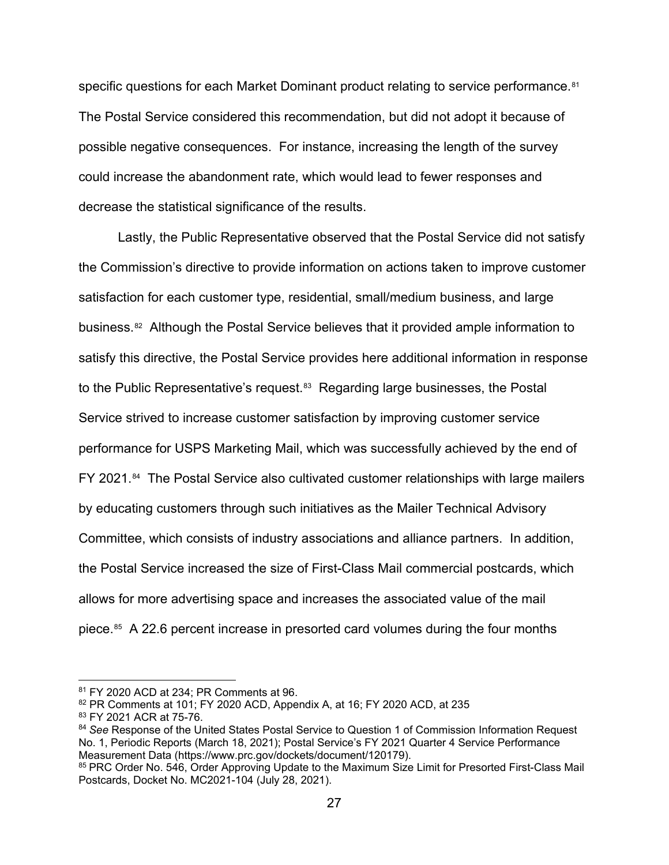specific questions for each Market Dominant product relating to service performance.<sup>81</sup> The Postal Service considered this recommendation, but did not adopt it because of possible negative consequences. For instance, increasing the length of the survey could increase the abandonment rate, which would lead to fewer responses and decrease the statistical significance of the results.

Lastly, the Public Representative observed that the Postal Service did not satisfy the Commission's directive to provide information on actions taken to improve customer satisfaction for each customer type, residential, small/medium business, and large business.[82](#page-26-1) Although the Postal Service believes that it provided ample information to satisfy this directive, the Postal Service provides here additional information in response to the Public Representative's request.<sup>[83](#page-26-2)</sup> Regarding large businesses, the Postal Service strived to increase customer satisfaction by improving customer service performance for USPS Marketing Mail, which was successfully achieved by the end of FY 2021.<sup>[84](#page-26-3)</sup> The Postal Service also cultivated customer relationships with large mailers by educating customers through such initiatives as the Mailer Technical Advisory Committee, which consists of industry associations and alliance partners. In addition, the Postal Service increased the size of First-Class Mail commercial postcards, which allows for more advertising space and increases the associated value of the mail piece.[85](#page-26-4) A 22.6 percent increase in presorted card volumes during the four months

<span id="page-26-0"></span><sup>81</sup> FY 2020 ACD at 234: PR Comments at 96.

<span id="page-26-1"></span><sup>82</sup> PR Comments at 101; FY 2020 ACD, Appendix A, at 16; FY 2020 ACD, at 235

<span id="page-26-2"></span><sup>83</sup> FY 2021 ACR at 75-76.

<span id="page-26-3"></span><sup>84</sup> *See* Response of the United States Postal Service to Question 1 of Commission Information Request No. 1, Periodic Reports (March 18, 2021); Postal Service's FY 2021 Quarter 4 Service Performance Measurement Data (https://www.prc.gov/dockets/document/120179).

<span id="page-26-4"></span><sup>&</sup>lt;sup>85</sup> PRC Order No. 546, Order Approving Update to the Maximum Size Limit for Presorted First-Class Mail Postcards, Docket No. MC2021-104 (July 28, 2021).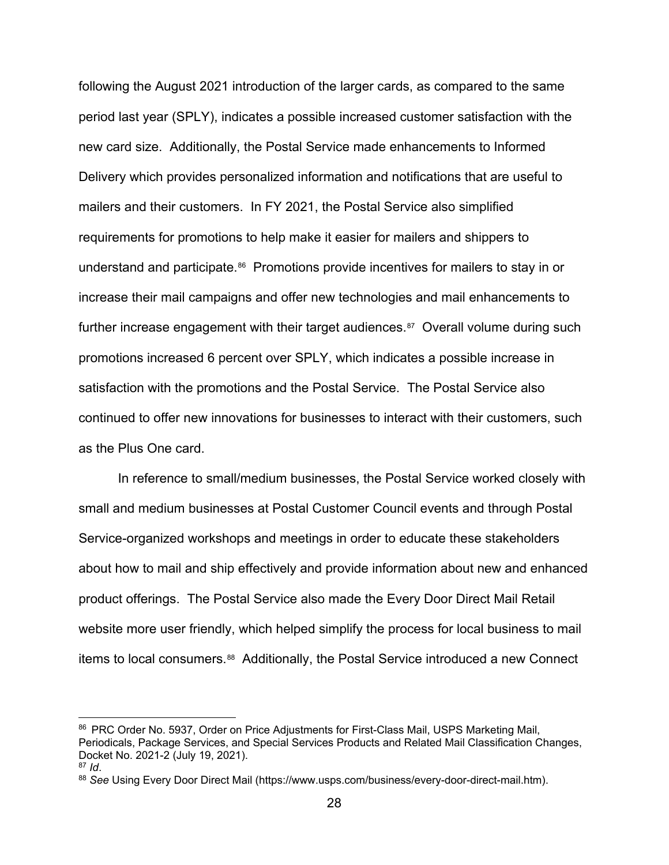following the August 2021 introduction of the larger cards, as compared to the same period last year (SPLY), indicates a possible increased customer satisfaction with the new card size. Additionally, the Postal Service made enhancements to Informed Delivery which provides personalized information and notifications that are useful to mailers and their customers. In FY 2021, the Postal Service also simplified requirements for promotions to help make it easier for mailers and shippers to understand and participate.[86](#page-27-0) Promotions provide incentives for mailers to stay in or increase their mail campaigns and offer new technologies and mail enhancements to further increase engagement with their target audiences. $87$  Overall volume during such promotions increased 6 percent over SPLY, which indicates a possible increase in satisfaction with the promotions and the Postal Service. The Postal Service also continued to offer new innovations for businesses to interact with their customers, such as the Plus One card.

In reference to small/medium businesses, the Postal Service worked closely with small and medium businesses at Postal Customer Council events and through Postal Service-organized workshops and meetings in order to educate these stakeholders about how to mail and ship effectively and provide information about new and enhanced product offerings. The Postal Service also made the Every Door Direct Mail Retail website more user friendly, which helped simplify the process for local business to mail items to local consumers.<sup>[88](#page-27-2)</sup> Additionally, the Postal Service introduced a new Connect

<span id="page-27-0"></span><sup>86</sup> PRC Order No. 5937, Order on Price Adjustments for First-Class Mail, USPS Marketing Mail, Periodicals, Package Services, and Special Services Products and Related Mail Classification Changes, Docket No. 2021-2 (July 19, 2021).

<span id="page-27-1"></span> $87$  *Id*.

<span id="page-27-2"></span><sup>88</sup> *See* Using Every Door Direct Mail (https://www.usps.com/business/every-door-direct-mail.htm).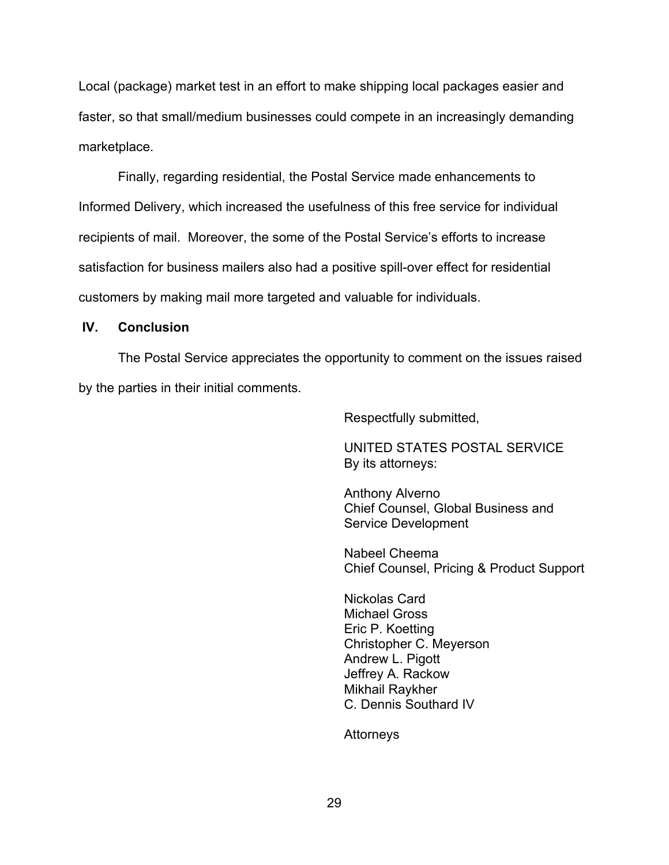Local (package) market test in an effort to make shipping local packages easier and faster, so that small/medium businesses could compete in an increasingly demanding marketplace.

Finally, regarding residential, the Postal Service made enhancements to Informed Delivery, which increased the usefulness of this free service for individual recipients of mail. Moreover, the some of the Postal Service's efforts to increase satisfaction for business mailers also had a positive spill-over effect for residential customers by making mail more targeted and valuable for individuals.

#### **IV. Conclusion**

The Postal Service appreciates the opportunity to comment on the issues raised by the parties in their initial comments.

Respectfully submitted,

UNITED STATES POSTAL SERVICE By its attorneys:

Anthony Alverno Chief Counsel, Global Business and Service Development

Nabeel Cheema Chief Counsel, Pricing & Product Support

Nickolas Card Michael Gross Eric P. Koetting Christopher C. Meyerson Andrew L. Pigott Jeffrey A. Rackow Mikhail Raykher C. Dennis Southard IV

Attorneys